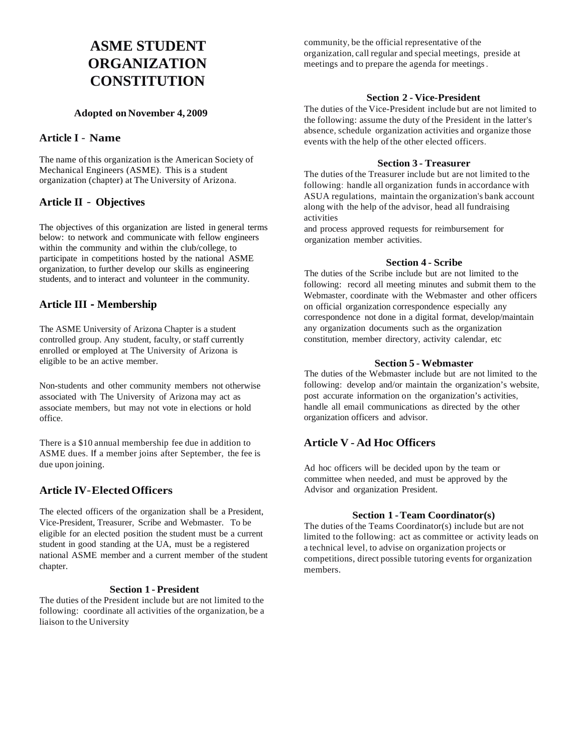# **ASME STUDENT ORGANIZATION CONSTITUTION**

### **Adopted on November 4, 2009**

### **Article I** - **Name**

The name of this organization isthe American Society of Mechanical Engineers (ASME). This is a student organization (chapter) at The University of Arizona.

# **Article II** - **Objectives**

The objectives of this organization are listed in general terms below: to network and communicate with fellow engineers within the community and within the club/college, to participate in competitions hosted by the national ASME organization, to further develop our skills as engineering students, and to interact and volunteer in the community.

## **Article III - Membership**

The ASME University of Arizona Chapter is a student controlled group. Any student, faculty, or staff currently enrolled or employed at The University of Arizona is eligible to be an active member.

Non-students and other community members not otherwise associated with The University of Arizona may act as associate members, but may not vote in elections or hold office.

There is a \$10 annual membership fee due in addition to ASME dues. If a member joins after September, the fee is due upon joining.

# **Article IV**-**ElectedOfficers**

The elected officers of the organization shall be a President, Vice-President, Treasurer, Scribe and Webmaster. To be eligible for an elected position the student must be a current student in good standing at the UA, must be a registered national ASME member and a current member of the student chapter.

### **Section 1 - President**

The duties of the President include but are not limited to the following: coordinate all activities of the organization, be a liaison to the University

community, be the official representative of the organization, call regular and special meetings, preside at meetings and to prepare the agenda for meetings.

### **Section 2 - Vice-President**

The duties of the Vice-President include but are not limited to the following: assume the duty of the President in the latter's absence, schedule organization activities and organize those events with the help of the other elected officers.

### **Section 3 - Treasurer**

The duties of the Treasurer include but are not limited to the following: handle all organization funds in accordance with ASUA regulations, maintain the organization's bank account along with the help of the advisor, head all fundraising activities

and process approved requests for reimbursement for organization member activities.

### **Section 4 - Scribe**

The duties of the Scribe include but are not limited to the following: record all meeting minutes and submit them to the Webmaster, coordinate with the Webmaster and other officers on official organization correspondence especially any correspondence not done in a digital format, develop/maintain any organization documents such as the organization constitution, member directory, activity calendar, etc

### **Section 5 - Webmaster**

The duties of the Webmaster include but are not limited to the following: develop and/or maintain the organization's website, post accurate information on the organization's activities, handle all email communications as directed by the other organization officers and advisor.

# **Article V - Ad Hoc Officers**

Ad hoc officers will be decided upon by the team or committee when needed, and must be approved by the Advisor and organization President.

### **Section 1 -Team Coordinator(s)**

The duties of the Teams Coordinator(s) include but are not limited to the following: act as committee or activity leads on a technical level, to advise on organization projects or competitions, direct possible tutoring events for organization members.